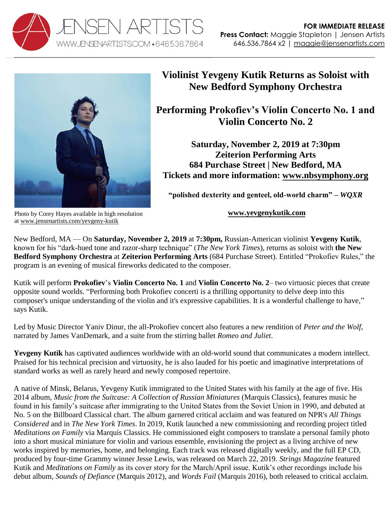



## **Violinist Yevgeny Kutik Returns as Soloist with New Bedford Symphony Orchestra**

**Performing Prokofiev's Violin Concerto No. 1 and Violin Concerto No. 2** 

**Saturday, November 2, 2019 at 7:30pm Zeiterion Performing Arts 684 Purchase Street | New Bedford, MA Tickets and more information: [www.nbsymphony.org](http://www.nbsymphony.org/)**

**"polished dexterity and genteel, old-world charm" –** *WQXR*

Photo by Corey Hayes available in high resolution at [www.jensenartists.com/yevgeny-kutik](http://www.jensenartists.com/yevgeny-kutik)

**[www.yevgenykutik.com](http://www.yevgenykutik.com/)**

New Bedford, MA — On **Saturday, November 2, 2019** at **7:30pm,** Russian-American violinist **Yevgeny Kutik**, known for his "dark-hued tone and razor-sharp technique" (*The New York Times*), returns as soloist with **the New Bedford Symphony Orchestra** at **Zeiterion Performing Arts** (684 Purchase Street). Entitled "Prokofiev Rules," the program is an evening of musical fireworks dedicated to the composer.

Kutik will perform **Prokofiev**'s **Violin Concerto No. 1** and **Violin Concerto No. 2**– two virtuosic pieces that create opposite sound worlds. "Performing both Prokofiev concerti is a thrilling opportunity to delve deep into this composer's unique understanding of the violin and it's expressive capabilities. It is a wonderful challenge to have," says Kutik.

Led by Music Director Yaniv Dinur, the all-Prokofiev concert also features a new rendition of *Peter and the Wolf*, narrated by James VanDemark, and a suite from the stirring ballet *Romeo and Juliet*.

**Yevgeny Kutik** has captivated audiences worldwide with an old-world sound that communicates a modern intellect. Praised for his technical precision and virtuosity, he is also lauded for his poetic and imaginative interpretations of standard works as well as rarely heard and newly composed repertoire.

A native of Minsk, Belarus, Yevgeny Kutik immigrated to the United States with his family at the age of five. His 2014 album, *Music from the Suitcase: A Collection of Russian Miniatures* (Marquis Classics), features music he found in his family's suitcase after immigrating to the United States from the Soviet Union in 1990, and debuted at No. 5 on the Billboard Classical chart. The album garnered critical acclaim and was featured on NPR's *All Things Considered* and in *The New York Times*. In 2019, Kutik launched a new commissioning and recording project titled *Meditations on Family* via Marquis Classics. He commissioned eight composers to translate a personal family photo into a short musical miniature for violin and various ensemble, envisioning the project as a living archive of new works inspired by memories, home, and belonging. Each track was released digitally weekly, and the full EP CD, produced by four-time Grammy winner Jesse Lewis, was released on March 22, 2019. *Strings Magazine* featured Kutik and *Meditations on Family* as its cover story for the March/April issue. Kutik's other recordings include his debut album, *Sounds of Defiance* (Marquis 2012), and *Words Fail* (Marquis 2016), both released to critical acclaim.